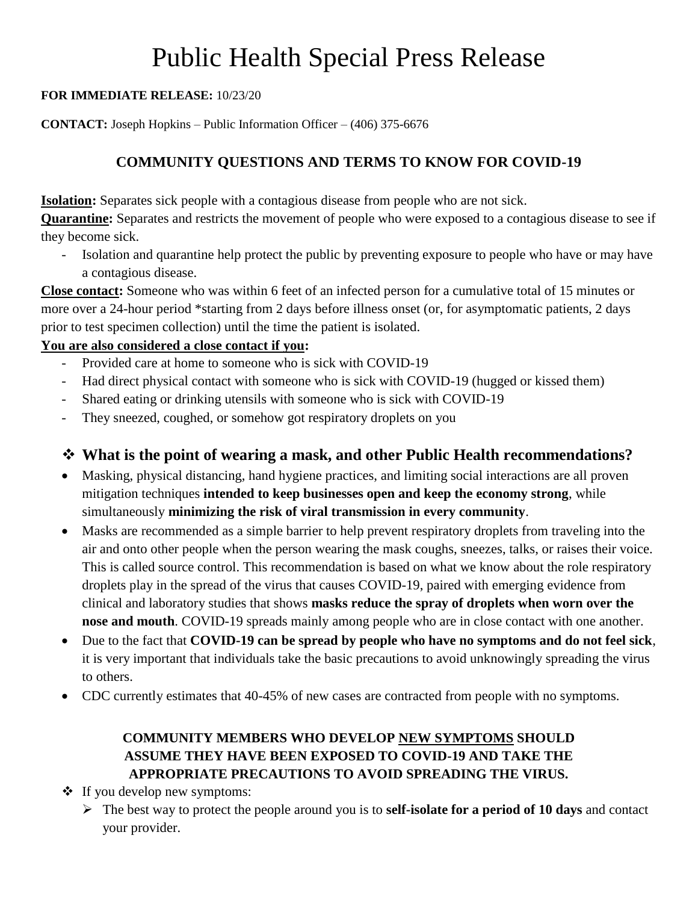# Public Health Special Press Release

#### **FOR IMMEDIATE RELEASE:** 10/23/20

**CONTACT:** Joseph Hopkins – Public Information Officer – (406) 375-6676

## **COMMUNITY QUESTIONS AND TERMS TO KNOW FOR COVID-19**

**Isolation:** Separates sick people with a contagious disease from people who are not sick.

**Quarantine:** Separates and restricts the movement of people who were exposed to a contagious disease to see if they become sick.

- Isolation and quarantine help protect the public by preventing exposure to people who have or may have a contagious disease.

**Close contact:** Someone who was within 6 feet of an infected person for a cumulative total of 15 minutes or more over a 24-hour period \*starting from 2 days before illness onset (or, for asymptomatic patients, 2 days prior to test specimen collection) until the time the patient is isolated.

### **You are also considered a close contact if you:**

- Provided care at home to someone who is sick with COVID-19
- Had direct physical contact with someone who is sick with COVID-19 (hugged or kissed them)
- Shared eating or drinking utensils with someone who is sick with COVID-19
- They sneezed, coughed, or somehow got respiratory droplets on you

## **What is the point of wearing a mask, and other Public Health recommendations?**

- Masking, physical distancing, hand hygiene practices, and limiting social interactions are all proven mitigation techniques **intended to keep businesses open and keep the economy strong**, while simultaneously **minimizing the risk of viral transmission in every community**.
- Masks are recommended as a simple barrier to help prevent respiratory droplets from traveling into the air and onto other people when the person wearing the mask coughs, sneezes, talks, or raises their voice. This is called source control. This recommendation is based on what we know about the role respiratory droplets play in the spread of the virus that causes COVID-19, paired with [emerging evidence](https://www.cdc.gov/coronavirus/2019-ncov/prevent-getting-sick/cloth-face-cover-guidance.html#recent-studies) from clinical and laboratory studies that shows **masks reduce the spray of droplets when worn over the nose and mouth**. COVID-19 spreads mainly among people who are in close contact with one another.
- Due to the fact that **COVID-19 can be spread by people who have no symptoms and do not feel sick**, it is very important that individuals take the basic precautions to avoid unknowingly spreading the virus to others.
- CDC currently estimates that 40-45% of new cases are contracted from people with no symptoms.

### **COMMUNITY MEMBERS WHO DEVELOP NEW SYMPTOMS SHOULD ASSUME THEY HAVE BEEN EXPOSED TO COVID-19 AND TAKE THE APPROPRIATE PRECAUTIONS TO AVOID SPREADING THE VIRUS.**

- $\triangleleft$  If you develop new symptoms:
	- The best way to protect the people around you is to **self-isolate for a period of 10 days** and contact your provider.